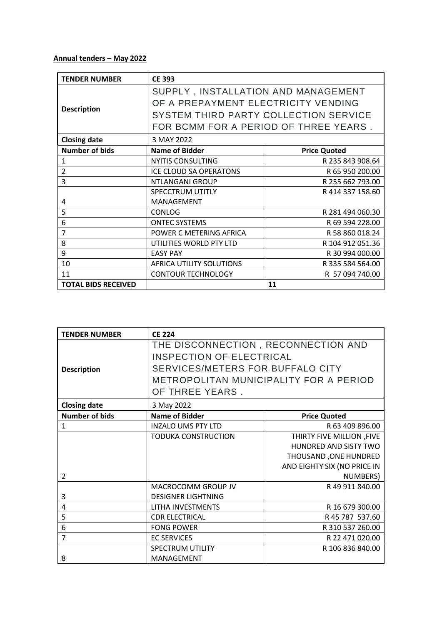## **Annual tenders – May 2022**

| <b>TENDER NUMBER</b>       | <b>CE 393</b>                         |                     |
|----------------------------|---------------------------------------|---------------------|
|                            | SUPPLY, INSTALLATION AND MANAGEMENT   |                     |
| <b>Description</b>         | OF A PREPAYMENT ELECTRICITY VENDING   |                     |
|                            | SYSTEM THIRD PARTY COLLECTION SERVICE |                     |
|                            | FOR BCMM FOR A PERIOD OF THREE YEARS. |                     |
| <b>Closing date</b>        | 3 MAY 2022                            |                     |
| <b>Number of bids</b>      | <b>Name of Bidder</b>                 | <b>Price Quoted</b> |
| 1                          | <b>NYITIS CONSULTING</b>              | R 235 843 908.64    |
| $\overline{2}$             | <b>ICE CLOUD SA OPERATONS</b>         | R 65 950 200.00     |
| 3                          | NTLANGANI GROUP                       | R 255 662 793.00    |
|                            | SPECCTRUM UTITLY                      | R 414 337 158.60    |
| 4                          | MANAGEMENT                            |                     |
| 5                          | <b>CONLOG</b>                         | R 281 494 060.30    |
| 6                          | <b>ONTEC SYSTEMS</b>                  | R 69 594 228.00     |
| 7                          | POWER C METERING AFRICA               | R 58 860 018.24     |
| 8                          | UTILITIES WORLD PTY LTD               | R 104 912 051.36    |
| 9                          | <b>EASY PAY</b>                       | R 30 994 000.00     |
| 10                         | AFRICA UTILITY SOLUTIONS              | R 335 584 564.00    |
| 11                         | <b>CONTOUR TECHNOLOGY</b>             | R 57 094 740.00     |
| <b>TOTAL BIDS RECEIVED</b> |                                       | 11                  |

| <b>TENDER NUMBER</b>  | <b>CE 224</b>                          |                             |  |
|-----------------------|----------------------------------------|-----------------------------|--|
|                       | THE DISCONNECTION, RECONNECTION AND    |                             |  |
|                       | <b>INSPECTION OF ELECTRICAL</b>        |                             |  |
| <b>Description</b>    | SERVICES/METERS FOR BUFFALO CITY       |                             |  |
|                       | METROPOLITAN MUNICIPALITY FOR A PERIOD |                             |  |
|                       | OF THREE YEARS.                        |                             |  |
| <b>Closing date</b>   | 3 May 2022                             |                             |  |
| <b>Number of bids</b> | <b>Name of Bidder</b>                  | <b>Price Quoted</b>         |  |
| $\mathbf{1}$          | <b>INZALO UMS PTY LTD</b>              | R 63 409 896.00             |  |
|                       | <b>TODUKA CONSTRUCTION</b>             | THIRTY FIVE MILLION, FIVE   |  |
|                       |                                        | HUNDRED AND SISTY TWO       |  |
|                       |                                        | THOUSAND, ONE HUNDRED       |  |
|                       |                                        | AND EIGHTY SIX (NO PRICE IN |  |
| $\mathcal{P}$         |                                        | NUMBERS)                    |  |
|                       | MACROCOMM GROUP JV                     | R49 911 840.00              |  |
| 3                     | <b>DESIGNER LIGHTNING</b>              |                             |  |
| 4                     | LITHA INVESTMENTS                      | R 16 679 300.00             |  |
| 5                     | <b>CDR ELECTRICAL</b>                  | R 45 787 537.60             |  |
| 6                     | <b>FONG POWER</b>                      | R 310 537 260.00            |  |
| $\overline{7}$        | <b>EC SERVICES</b>                     | R 22 471 020.00             |  |
|                       | <b>SPECTRUM UTILITY</b>                | R 106 836 840.00            |  |
| 8                     | MANAGEMENT                             |                             |  |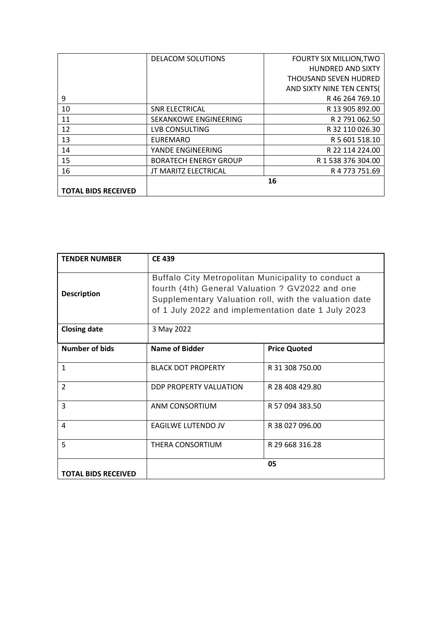|                            | <b>DELACOM SOLUTIONS</b>     | <b>FOURTY SIX MILLION, TWO</b> |
|----------------------------|------------------------------|--------------------------------|
|                            |                              | <b>HUNDRED AND SIXTY</b>       |
|                            |                              | <b>THOUSAND SEVEN HUDRED</b>   |
|                            |                              | AND SIXTY NINE TEN CENTS(      |
| 9                          |                              | R46 264 769.10                 |
| 10                         | <b>SNR ELECTRICAL</b>        | R 13 905 892.00                |
| 11                         | <b>SEKANKOWE ENGINEERING</b> | R 2 791 062.50                 |
| 12                         | LVB CONSULTING               | R 32 110 026.30                |
| 13                         | <b>EUREMARO</b>              | R 5 601 518.10                 |
| 14                         | YANDE ENGINEERING            | R 22 114 224.00                |
| 15                         | <b>BORATECH ENERGY GROUP</b> | R 1 538 376 304.00             |
| 16                         | <b>JT MARITZ ELECTRICAL</b>  | R 4 773 751.69                 |
|                            |                              | 16                             |
| <b>TOTAL BIDS RECEIVED</b> |                              |                                |

| <b>TENDER NUMBER</b>       | <b>CE 439</b>                                                                                                                                                                                                         |                     |
|----------------------------|-----------------------------------------------------------------------------------------------------------------------------------------------------------------------------------------------------------------------|---------------------|
| <b>Description</b>         | Buffalo City Metropolitan Municipality to conduct a<br>fourth (4th) General Valuation ? GV2022 and one<br>Supplementary Valuation roll, with the valuation date<br>of 1 July 2022 and implementation date 1 July 2023 |                     |
| <b>Closing date</b>        | 3 May 2022                                                                                                                                                                                                            |                     |
| <b>Number of bids</b>      | Name of Bidder                                                                                                                                                                                                        | <b>Price Quoted</b> |
| $\mathbf{1}$               | <b>BLACK DOT PROPERTY</b>                                                                                                                                                                                             | R 31 308 750.00     |
| $\overline{2}$             | DDP PROPERTY VALUATION                                                                                                                                                                                                | R 28 408 429.80     |
| 3                          | ANM CONSORTIUM                                                                                                                                                                                                        | R 57 094 383.50     |
| 4                          | <b>EAGILWE LUTENDO JV</b>                                                                                                                                                                                             | R 38 027 096.00     |
| 5                          | THERA CONSORTIUM                                                                                                                                                                                                      | R 29 668 316.28     |
| <b>TOTAL BIDS RECEIVED</b> |                                                                                                                                                                                                                       | 05                  |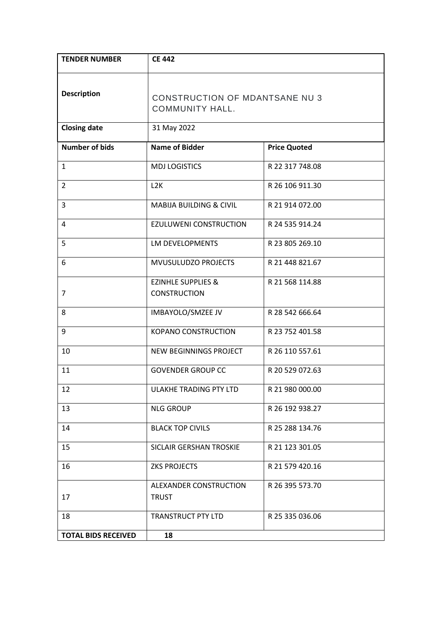| <b>TENDER NUMBER</b>       | <b>CE 442</b>                                                   |                     |
|----------------------------|-----------------------------------------------------------------|---------------------|
| <b>Description</b>         | <b>CONSTRUCTION OF MDANTSANE NU 3</b><br><b>COMMUNITY HALL.</b> |                     |
| <b>Closing date</b>        | 31 May 2022                                                     |                     |
| <b>Number of bids</b>      | <b>Name of Bidder</b>                                           | <b>Price Quoted</b> |
| $\mathbf{1}$               | <b>MDJ LOGISTICS</b>                                            | R 22 317 748.08     |
| $\overline{2}$             | L <sub>2</sub> K                                                | R 26 106 911.30     |
| 3                          | <b>MABIJA BUILDING &amp; CIVIL</b>                              | R 21 914 072.00     |
| 4                          | EZULUWENI CONSTRUCTION                                          | R 24 535 914.24     |
| 5                          | LM DEVELOPMENTS                                                 | R 23 805 269.10     |
| 6                          | MVUSULUDZO PROJECTS                                             | R 21 448 821.67     |
| 7                          | <b>EZINHLE SUPPLIES &amp;</b><br><b>CONSTRUCTION</b>            | R 21 568 114.88     |
| 8                          | IMBAYOLO/SMZEE JV                                               | R 28 542 666.64     |
| 9                          | <b>KOPANO CONSTRUCTION</b>                                      | R 23 752 401.58     |
| 10                         | NEW BEGINNINGS PROJECT                                          | R 26 110 557.61     |
| 11                         | <b>GOVENDER GROUP CC</b>                                        | R 20 529 072.63     |
| 12                         | ULAKHE TRADING PTY LTD                                          | R 21 980 000.00     |
| 13                         | <b>NLG GROUP</b>                                                | R 26 192 938.27     |
| 14                         | <b>BLACK TOP CIVILS</b>                                         | R 25 288 134.76     |
| 15                         | SICLAIR GERSHAN TROSKIE                                         | R 21 123 301.05     |
| 16                         | <b>ZKS PROJECTS</b>                                             | R 21 579 420.16     |
| 17                         | ALEXANDER CONSTRUCTION<br><b>TRUST</b>                          | R 26 395 573.70     |
| 18                         | TRANSTRUCT PTY LTD                                              | R 25 335 036.06     |
| <b>TOTAL BIDS RECEIVED</b> | 18                                                              |                     |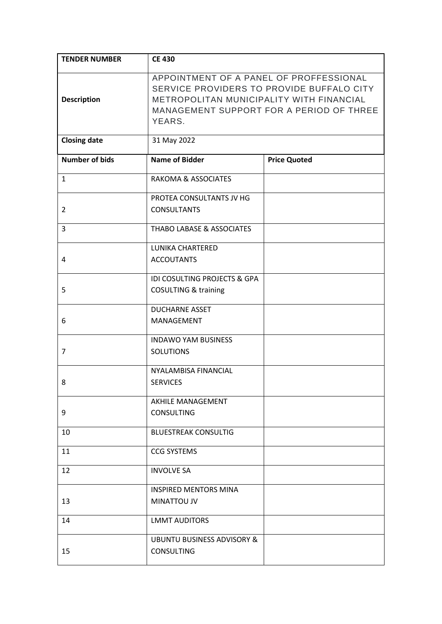| <b>TENDER NUMBER</b>  | <b>CE 430</b>                                                                                                                                                                          |                     |
|-----------------------|----------------------------------------------------------------------------------------------------------------------------------------------------------------------------------------|---------------------|
| <b>Description</b>    | APPOINTMENT OF A PANEL OF PROFFESSIONAL<br>SERVICE PROVIDERS TO PROVIDE BUFFALO CITY<br>METROPOLITAN MUNICIPALITY WITH FINANCIAL<br>MANAGEMENT SUPPORT FOR A PERIOD OF THREE<br>YEARS. |                     |
| <b>Closing date</b>   | 31 May 2022                                                                                                                                                                            |                     |
| <b>Number of bids</b> | <b>Name of Bidder</b>                                                                                                                                                                  | <b>Price Quoted</b> |
| $\mathbf{1}$          | <b>RAKOMA &amp; ASSOCIATES</b>                                                                                                                                                         |                     |
|                       | PROTEA CONSULTANTS JV HG                                                                                                                                                               |                     |
| $\overline{2}$        | <b>CONSULTANTS</b>                                                                                                                                                                     |                     |
| 3                     | THABO LABASE & ASSOCIATES                                                                                                                                                              |                     |
|                       | <b>LUNIKA CHARTERED</b>                                                                                                                                                                |                     |
| 4                     | <b>ACCOUTANTS</b>                                                                                                                                                                      |                     |
|                       | IDI COSULTING PROJECTS & GPA                                                                                                                                                           |                     |
| 5                     | <b>COSULTING &amp; training</b>                                                                                                                                                        |                     |
|                       | <b>DUCHARNE ASSET</b>                                                                                                                                                                  |                     |
| 6                     | MANAGEMENT                                                                                                                                                                             |                     |
|                       | <b>INDAWO YAM BUSINESS</b>                                                                                                                                                             |                     |
| 7                     | <b>SOLUTIONS</b>                                                                                                                                                                       |                     |
|                       | NYALAMBISA FINANCIAL                                                                                                                                                                   |                     |
| 8                     | <b>SERVICES</b>                                                                                                                                                                        |                     |
|                       | AKHILE MANAGEMENT                                                                                                                                                                      |                     |
| 9                     | <b>CONSULTING</b>                                                                                                                                                                      |                     |
| 10                    | <b>BLUESTREAK CONSULTIG</b>                                                                                                                                                            |                     |
| 11                    | <b>CCG SYSTEMS</b>                                                                                                                                                                     |                     |
| 12                    | <b>INVOLVE SA</b>                                                                                                                                                                      |                     |
|                       | <b>INSPIRED MENTORS MINA</b>                                                                                                                                                           |                     |
| 13                    | MINATTOU JV                                                                                                                                                                            |                     |
| 14                    | <b>LMMT AUDITORS</b>                                                                                                                                                                   |                     |
|                       | <b>UBUNTU BUSINESS ADVISORY &amp;</b>                                                                                                                                                  |                     |
| 15                    | <b>CONSULTING</b>                                                                                                                                                                      |                     |